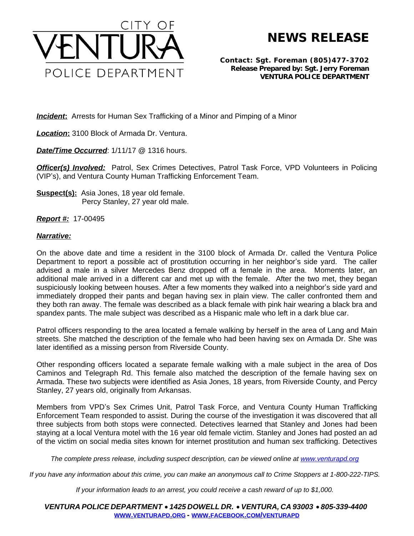

## **NEWS RELEASE**

**Contact: Sgt. Foreman (805)477-3702 Release Prepared by: Sgt. Jerry Foreman VENTURA POLICE DEPARTMENT**

**Incident:** Arrests for Human Sex Trafficking of a Minor and Pimping of a Minor

*Location***:** 3100 Block of Armada Dr. Ventura.

*Date/Time Occurred*: 1/11/17 @ 1316 hours.

**Officer(s) Involved:** Patrol, Sex Crimes Detectives, Patrol Task Force, VPD Volunteers in Policing (VIP's), and Ventura County Human Trafficking Enforcement Team.

**Suspect(s):** Asia Jones, 18 year old female. Percy Stanley, 27 year old male.

*Report #:* 17-00495

## *Narrative:*

On the above date and time a resident in the 3100 block of Armada Dr. called the Ventura Police Department to report a possible act of prostitution occurring in her neighbor's side yard. The caller advised a male in a silver Mercedes Benz dropped off a female in the area. Moments later, an additional male arrived in a different car and met up with the female. After the two met, they began suspiciously looking between houses. After a few moments they walked into a neighbor's side yard and immediately dropped their pants and began having sex in plain view. The caller confronted them and they both ran away. The female was described as a black female with pink hair wearing a black bra and spandex pants. The male subject was described as a Hispanic male who left in a dark blue car.

Patrol officers responding to the area located a female walking by herself in the area of Lang and Main streets. She matched the description of the female who had been having sex on Armada Dr. She was later identified as a missing person from Riverside County.

Other responding officers located a separate female walking with a male subject in the area of Dos Caminos and Telegraph Rd. This female also matched the description of the female having sex on Armada. These two subjects were identified as Asia Jones, 18 years, from Riverside County, and Percy Stanley, 27 years old, originally from Arkansas.

Members from VPD's Sex Crimes Unit, Patrol Task Force, and Ventura County Human Trafficking Enforcement Team responded to assist. During the course of the investigation it was discovered that all three subjects from both stops were connected. Detectives learned that Stanley and Jones had been staying at a local Ventura motel with the 16 year old female victim. Stanley and Jones had posted an ad of the victim on social media sites known for internet prostitution and human sex trafficking. Detectives

The complete press release, including suspect description, can be viewed online at [www.venturapd.org](http://www.venturapd.org)

*If you have any information about this crime, you can make an anonymous call to Crime Stoppers at 1-800-222-TIPS.*

*If your information leads to an arrest, you could receive a cash reward of up to \$1,000.*

*VENTURA POLICE DEPARTMENT* · *1425 DOWELL DR.* · *VENTURA, CA 93003* · *805-339-4400* **WWW.[VENTURAPD](http://www.venturapd.org).ORG** *-* **WWW.FACEBOOK.COM/[VENTURAPD](http://www.facebook.com/venturapd)**